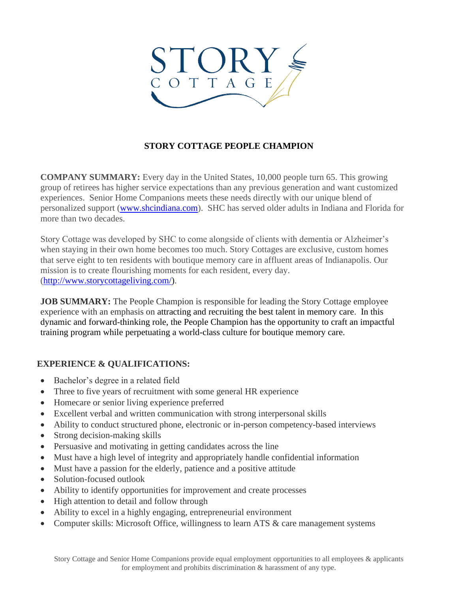

# **STORY COTTAGE PEOPLE CHAMPION**

**COMPANY SUMMARY:** Every day in the United States, 10,000 people turn 65. This growing group of retirees has higher service expectations than any previous generation and want customized experiences. Senior Home Companions meets these needs directly with our unique blend of personalized support [\(www.shcindiana.com\)](http://www.shcindiana.com/). SHC has served older adults in Indiana and Florida for more than two decades.

Story Cottage was developed by SHC to come alongside of clients with dementia or Alzheimer's when staying in their own home becomes too much. Story Cottages are exclusive, custom homes that serve eight to ten residents with boutique memory care in affluent areas of Indianapolis. Our mission is to create flourishing moments for each resident, every day. [\(http://www.storycottageliving.com/\)](http://www.storycottageliving.com/).

**JOB SUMMARY:** The People Champion is responsible for leading the Story Cottage employee experience with an emphasis on attracting and recruiting the best talent in memory care. In this dynamic and forward-thinking role, the People Champion has the opportunity to craft an impactful training program while perpetuating a world-class culture for boutique memory care.

## **EXPERIENCE & QUALIFICATIONS:**

- Bachelor's degree in a related field
- Three to five years of recruitment with some general HR experience
- Homecare or senior living experience preferred
- Excellent verbal and written communication with strong interpersonal skills
- Ability to conduct structured phone, electronic or in-person competency-based interviews
- Strong decision-making skills
- Persuasive and motivating in getting candidates across the line
- Must have a high level of integrity and appropriately handle confidential information
- Must have a passion for the elderly, patience and a positive attitude
- Solution-focused outlook
- Ability to identify opportunities for improvement and create processes
- High attention to detail and follow through
- Ability to excel in a highly engaging, entrepreneurial environment
- Computer skills: Microsoft Office, willingness to learn ATS & care management systems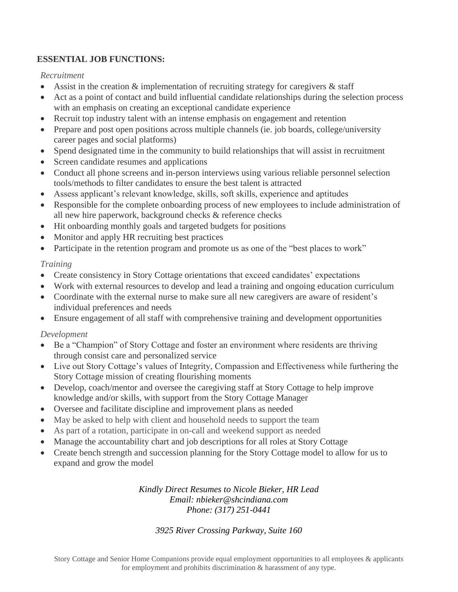# **ESSENTIAL JOB FUNCTIONS:**

### *Recruitment*

- Assist in the creation  $\&$  implementation of recruiting strategy for caregivers  $\&$  staff
- Act as a point of contact and build influential candidate relationships during the selection process with an emphasis on creating an exceptional candidate experience
- Recruit top industry talent with an intense emphasis on engagement and retention
- Prepare and post open positions across multiple channels (ie. job boards, college/university career pages and social platforms)
- Spend designated time in the community to build relationships that will assist in recruitment
- Screen candidate resumes and applications
- Conduct all phone screens and in-person interviews using various reliable personnel selection tools/methods to filter candidates to ensure the best talent is attracted
- Assess applicant's relevant knowledge, skills, soft skills, experience and aptitudes
- Responsible for the complete onboarding process of new employees to include administration of all new hire paperwork, background checks & reference checks
- Hit onboarding monthly goals and targeted budgets for positions
- Monitor and apply HR recruiting best practices
- Participate in the retention program and promote us as one of the "best places to work"

## *Training*

- Create consistency in Story Cottage orientations that exceed candidates' expectations
- Work with external resources to develop and lead a training and ongoing education curriculum
- Coordinate with the external nurse to make sure all new caregivers are aware of resident's individual preferences and needs
- Ensure engagement of all staff with comprehensive training and development opportunities

### *Development*

- Be a "Champion" of Story Cottage and foster an environment where residents are thriving through consist care and personalized service
- Live out Story Cottage's values of Integrity, Compassion and Effectiveness while furthering the Story Cottage mission of creating flourishing moments
- Develop, coach/mentor and oversee the caregiving staff at Story Cottage to help improve knowledge and/or skills, with support from the Story Cottage Manager
- Oversee and facilitate discipline and improvement plans as needed
- May be asked to help with client and household needs to support the team
- As part of a rotation, participate in on-call and weekend support as needed
- Manage the accountability chart and job descriptions for all roles at Story Cottage
- Create bench strength and succession planning for the Story Cottage model to allow for us to expand and grow the model

### *Kindly Direct Resumes to Nicole Bieker, HR Lead Email: nbieker@shcindiana.com Phone: (317) 251-0441*

## *3925 River Crossing Parkway, Suite 160*